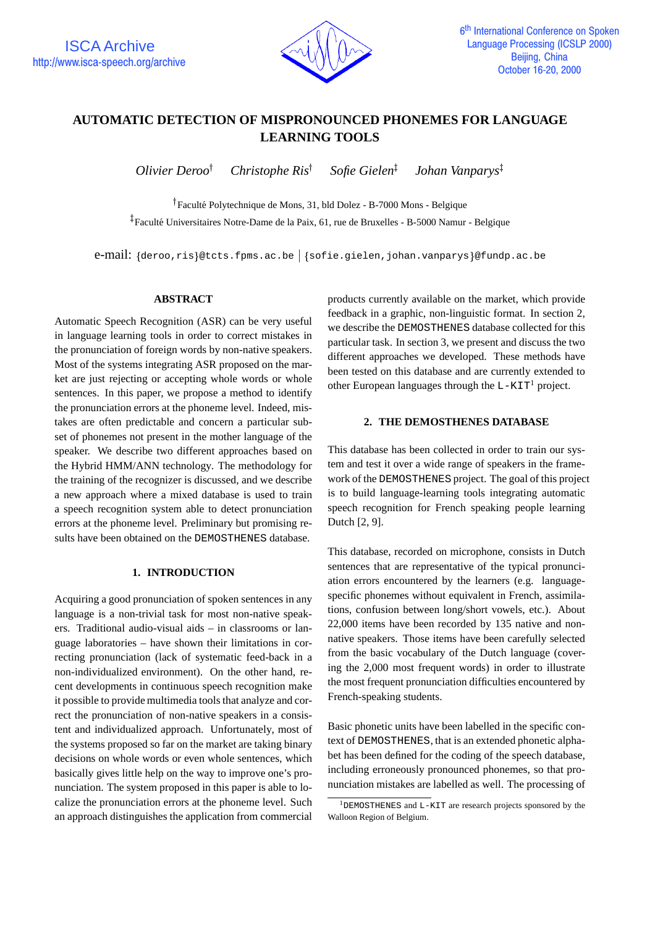

# **AUTOMATIC DETECTION OF MISPRONOUNCED PHONEMES FOR LANGUAGE LEARNING TOOLS**

*Olivier Deroo Christophe Ris Sofie Gielen Johan Vanparys*

<sup>†</sup> Faculté Polytechnique de Mons, 31, bld Dolez - B-7000 Mons - Belgique  $^{\ddagger}_{\rm}$ Faculté Universitaires Notre-Dame de la Paix, 61, rue de Bruxelles - B-5000 Namur - Belgique

e-mail: {deroo,ris}@tcts.fpms.ac.be | {sofie.gielen,johan.vanparys}@fundp.ac.be

#### **ABSTRACT**

Automatic Speech Recognition (ASR) can be very useful in language learning tools in order to correct mistakes in the pronunciation of foreign words by non-native speakers. Most of the systems integrating ASR proposed on the market are just rejecting or accepting whole words or whole sentences. In this paper, we propose a method to identify the pronunciation errors at the phoneme level. Indeed, mistakes are often predictable and concern a particular subset of phonemes not present in the mother language of the speaker. We describe two different approaches based on the Hybrid HMM/ANN technology. The methodology for the training of the recognizer is discussed, and we describe a new approach where a mixed database is used to train a speech recognition system able to detect pronunciation errors at the phoneme level. Preliminary but promising results have been obtained on the DEMOSTHENES database.

## **1. INTRODUCTION**

Acquiring a good pronunciation of spoken sentences in any language is a non-trivial task for most non-native speakers. Traditional audio-visual aids – in classrooms or language laboratories – have shown their limitations in correcting pronunciation (lack of systematic feed-back in a non-individualized environment). On the other hand, recent developments in continuous speech recognition make it possible to provide multimedia tools that analyze and correct the pronunciation of non-native speakers in a consistent and individualized approach. Unfortunately, most of the systems proposed so far on the market are taking binary decisions on whole words or even whole sentences, which basically gives little help on the way to improve one's pronunciation. The system proposed in this paper is able to localize the pronunciation errors at the phoneme level. Such an approach distinguishes the application from commercial

products currently available on the market, which provide feedback in a graphic, non-linguistic format. In section 2, we describe the DEMOSTHENES database collected for this particular task. In section 3, we present and discuss the two different approaches we developed. These methods have been tested on this database and are currently extended to other European languages through the  $L-KIT<sup>1</sup>$  project.

### **2. THE DEMOSTHENES DATABASE**

This database has been collected in order to train our system and test it over a wide range of speakers in the framework of the DEMOSTHENES project. The goal of this project is to build language-learning tools integrating automatic speech recognition for French speaking people learning Dutch [2, 9].

This database, recorded on microphone, consists in Dutch sentences that are representative of the typical pronunciation errors encountered by the learners (e.g. languagespecific phonemes without equivalent in French, assimilations, confusion between long/short vowels, etc.). About 22,000 items have been recorded by 135 native and nonnative speakers. Those items have been carefully selected from the basic vocabulary of the Dutch language (covering the 2,000 most frequent words) in order to illustrate the most frequent pronunciation difficulties encountered by French-speaking students.

Basic phonetic units have been labelled in the specific context of DEMOSTHENES, that is an extended phonetic alphabet has been defined for the coding of the speech database, including erroneously pronounced phonemes, so that pronunciation mistakes are labelled as well. The processing of

<sup>1</sup>DEMOSTHENES and L-KIT are research projects sponsored by the Walloon Region of Belgium.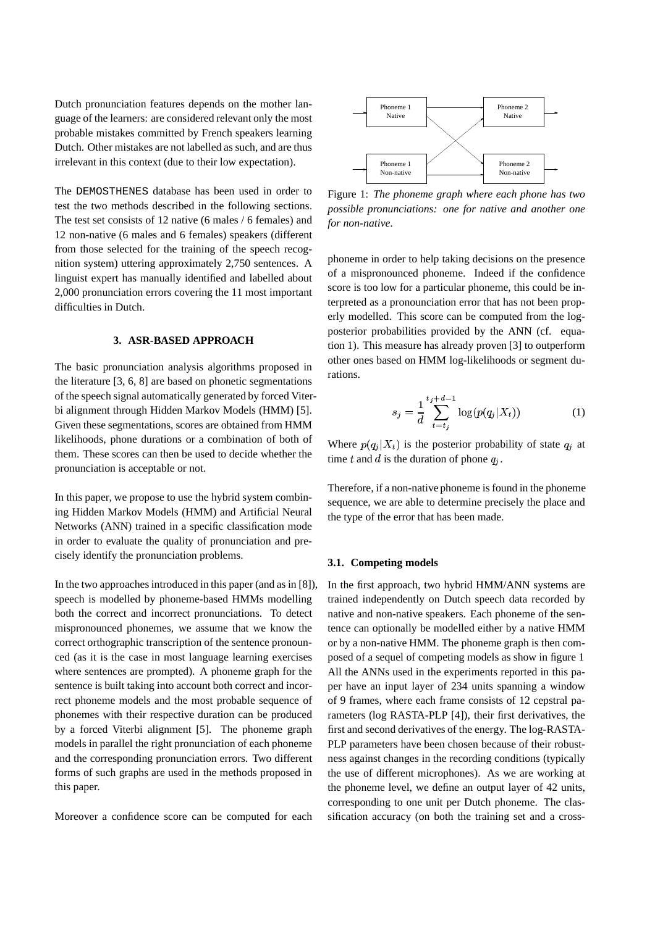Dutch pronunciation features depends on the mother language of the learners: are considered relevant only the most probable mistakes committed by French speakers learning Dutch. Other mistakes are not labelled as such, and are thus irrelevant in this context (due to their low expectation).

The DEMOSTHENES database has been used in order to test the two methods described in the following sections. The test set consists of 12 native (6 males / 6 females) and 12 non-native (6 males and 6 females) speakers (different from those selected for the training of the speech recognition system) uttering approximately 2,750 sentences. A linguist expert has manually identified and labelled about 2,000 pronunciation errors covering the 11 most important difficulties in Dutch.

## **3. ASR-BASED APPROACH**

The basic pronunciation analysis algorithms proposed in the literature [3, 6, 8] are based on phonetic segmentations of the speech signal automatically generated by forced Viterbi alignment through Hidden Markov Models (HMM) [5]. Given these segmentations, scores are obtained from HMM likelihoods, phone durations or a combination of both of them. These scores can then be used to decide whether the pronunciation is acceptable or not.

In this paper, we propose to use the hybrid system combining Hidden Markov Models (HMM) and Artificial Neural Networks (ANN) trained in a specific classification mode in order to evaluate the quality of pronunciation and precisely identify the pronunciation problems.

In the two approaches introduced in this paper (and as in [8]). speech is modelled by phoneme-based HMMs modelling both the correct and incorrect pronunciations. To detect mispronounced phonemes, we assume that we know the correct orthographic transcription of the sentence pronounced (as it is the case in most language learning exercises where sentences are prompted). A phoneme graph for the sentence is built taking into account both correct and incorrect phoneme models and the most probable sequence of phonemes with their respective duration can be produced by a forced Viterbi alignment [5]. The phoneme graph models in parallel the right pronunciation of each phoneme and the corresponding pronunciation errors. Two different forms of such graphs are used in the methods proposed in this paper.

Moreover a confidence score can be computed for each



Figure 1: *The phoneme graph where each phone has two possible pronunciations: one for native and another one for non-native.*

phoneme in order to help taking decisions on the presence of a mispronounced phoneme. Indeed if the confidence score is too low for a particular phoneme, this could be interpreted as a pronounciation error that has not been properly modelled. This score can be computed from the logposterior probabilities provided by the ANN (cf. equation 1). This measure has already proven [3] to outperform other ones based on HMM log-likelihoods or segment durations.

$$
s_j = \frac{1}{d} \sum_{t=t_j}^{t_j + d - 1} \log(p(q_j | X_t))
$$
 (1)

Where  $p(q_j|X_t)$  is the posterior probability of state  $q_j$  at time t and d is the duration of phone  $q_i$ .

Therefore, if a non-native phoneme is found in the phoneme sequence, we are able to determine precisely the place and the type of the error that has been made.

## **3.1. Competing models**

In the first approach, two hybrid HMM/ANN systems are trained independently on Dutch speech data recorded by native and non-native speakers. Each phoneme of the sentence can optionally be modelled either by a native HMM or by a non-native HMM. The phoneme graph is then composed of a sequel of competing models as show in figure 1 All the ANNs used in the experiments reported in this paper have an input layer of 234 units spanning a window of 9 frames, where each frame consists of 12 cepstral parameters (log RASTA-PLP [4]), their first derivatives, the first and second derivatives of the energy. The log-RASTA-PLP parameters have been chosen because of their robustness against changes in the recording conditions (typically the use of different microphones). As we are working at the phoneme level, we define an output layer of 42 units, corresponding to one unit per Dutch phoneme. The classification accuracy (on both the training set and a cross-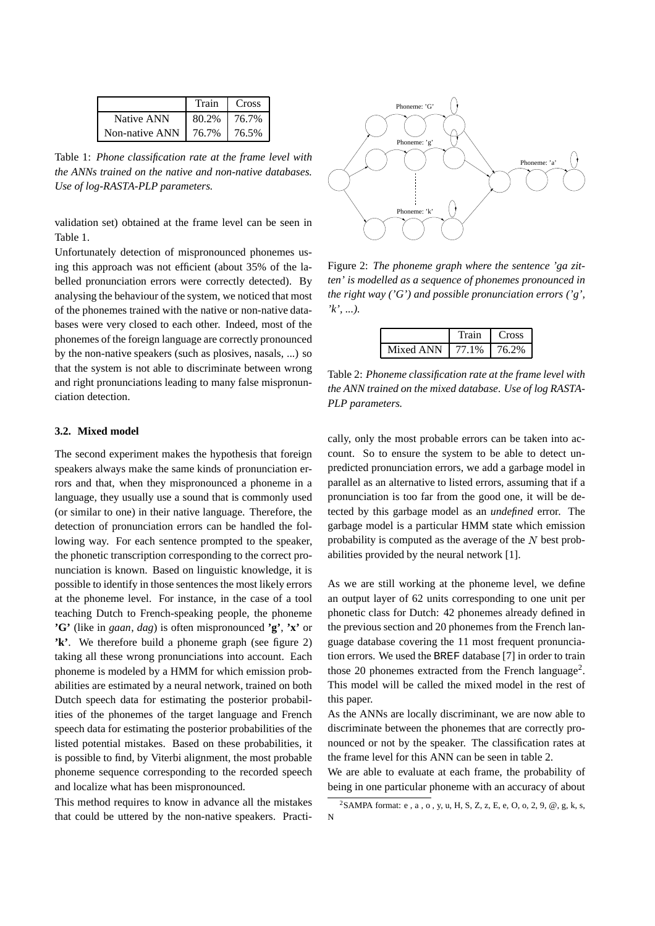|                | Train | Cross |
|----------------|-------|-------|
| Native ANN     | 80.2% | 76.7% |
| Non-native ANN | 76.7% | 76.5% |

Table 1: *Phone classification rate at the frame level with the ANNs trained on the native and non-native databases. Use of log-RASTA-PLP parameters.*

validation set) obtained at the frame level can be seen in Table 1.

Unfortunately detection of mispronounced phonemes using this approach was not efficient (about 35% of the labelled pronunciation errors were correctly detected). By analysing the behaviour of the system, we noticed that most of the phonemes trained with the native or non-native databases were very closed to each other. Indeed, most of the phonemes of the foreign language are correctly pronounced by the non-native speakers (such as plosives, nasals, ...) so that the system is not able to discriminate between wrong and right pronunciations leading to many false mispronunciation detection.

### **3.2. Mixed model**

The second experiment makes the hypothesis that foreign speakers always make the same kinds of pronunciation errors and that, when they mispronounced a phoneme in a language, they usually use a sound that is commonly used (or similar to one) in their native language. Therefore, the detection of pronunciation errors can be handled the following way. For each sentence prompted to the speaker, the phonetic transcription corresponding to the correct pronunciation is known. Based on linguistic knowledge, it is possible to identify in those sentences the most likely errors at the phoneme level. For instance, in the case of a tool teaching Dutch to French-speaking people, the phoneme **'G'** (like in *gaan*, *dag*) is often mispronounced **'g'**, **'x'** or **'k'**. We therefore build a phoneme graph (see figure 2) taking all these wrong pronunciations into account. Each phoneme is modeled by a HMM for which emission probabilities are estimated by a neural network, trained on both Dutch speech data for estimating the posterior probabilities of the phonemes of the target language and French speech data for estimating the posterior probabilities of the listed potential mistakes. Based on these probabilities, it is possible to find, by Viterbi alignment, the most probable phoneme sequence corresponding to the recorded speech and localize what has been mispronounced.

This method requires to know in advance all the mistakes that could be uttered by the non-native speakers. Practi-



Figure 2: *The phoneme graph where the sentence 'ga zitten' is modelled as a sequence of phonemes pronounced in the right way ('G') and possible pronunciation errors ('g', 'k', ...).*

|           | Frain | Cross |
|-----------|-------|-------|
| Mixed ANN | 77.1% | 76.2% |

Table 2: *Phoneme classification rate at the frame level with the ANN trained on the mixed database. Use of log RASTA-PLP parameters.*

cally, only the most probable errors can be taken into account. So to ensure the system to be able to detect unpredicted pronunciation errors, we add a garbage model in parallel as an alternative to listed errors, assuming that if a pronunciation is too far from the good one, it will be detected by this garbage model as an *undefined* error. The garbage model is a particular HMM state which emission probability is computed as the average of the  $\overline{N}$  best probabilities provided by the neural network [1].

As we are still working at the phoneme level, we define an output layer of 62 units corresponding to one unit per phonetic class for Dutch: 42 phonemes already defined in the previous section and 20 phonemes from the French language database covering the 11 most frequent pronunciation errors. We used the BREF database [7] in order to train those 20 phonemes extracted from the French language<sup>2</sup>. This model will be called the mixed model in the rest of this paper.

As the ANNs are locally discriminant, we are now able to discriminate between the phonemes that are correctly pronounced or not by the speaker. The classification rates at the frame level for this ANN can be seen in table 2.

We are able to evaluate at each frame, the probability of being in one particular phoneme with an accuracy of about

<sup>&</sup>lt;sup>2</sup>SAMPA format: e, a, o, y, u, H, S, Z, z, E, e, O, o, 2, 9, @, g, k, s, N